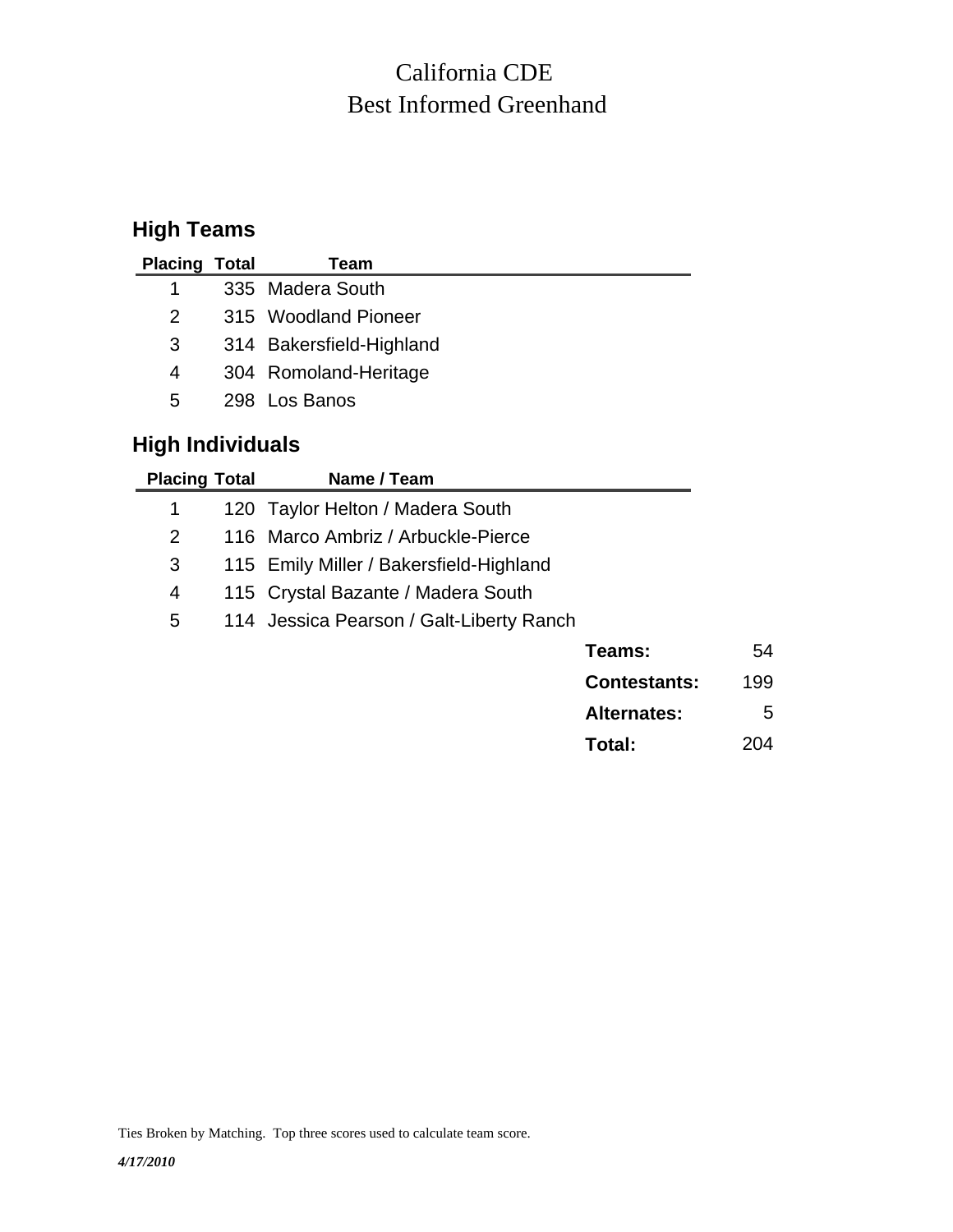## Best Informed Greenhand California CDE

## **High Teams**

| <b>Placing Total</b> | Team                     |
|----------------------|--------------------------|
| 1                    | 335 Madera South         |
| 2                    | 315 Woodland Pioneer     |
| 3                    | 314 Bakersfield-Highland |
| 4                    | 304 Romoland-Heritage    |
| 5                    | 298 Los Banos            |
|                      |                          |

## **High Individuals**

| <b>Placing Total</b> | Name / Team                              |                     |     |
|----------------------|------------------------------------------|---------------------|-----|
| 1                    | 120 Taylor Helton / Madera South         |                     |     |
| 2                    | 116 Marco Ambriz / Arbuckle-Pierce       |                     |     |
| 3                    | 115 Emily Miller / Bakersfield-Highland  |                     |     |
| 4                    | 115 Crystal Bazante / Madera South       |                     |     |
| 5                    | 114 Jessica Pearson / Galt-Liberty Ranch |                     |     |
|                      |                                          | Teams:              | 54  |
|                      |                                          | <b>Contestants:</b> | 199 |
|                      |                                          | <b>Alternates:</b>  | 5   |

**Total:** 204

Ties Broken by Matching. Top three scores used to calculate team score.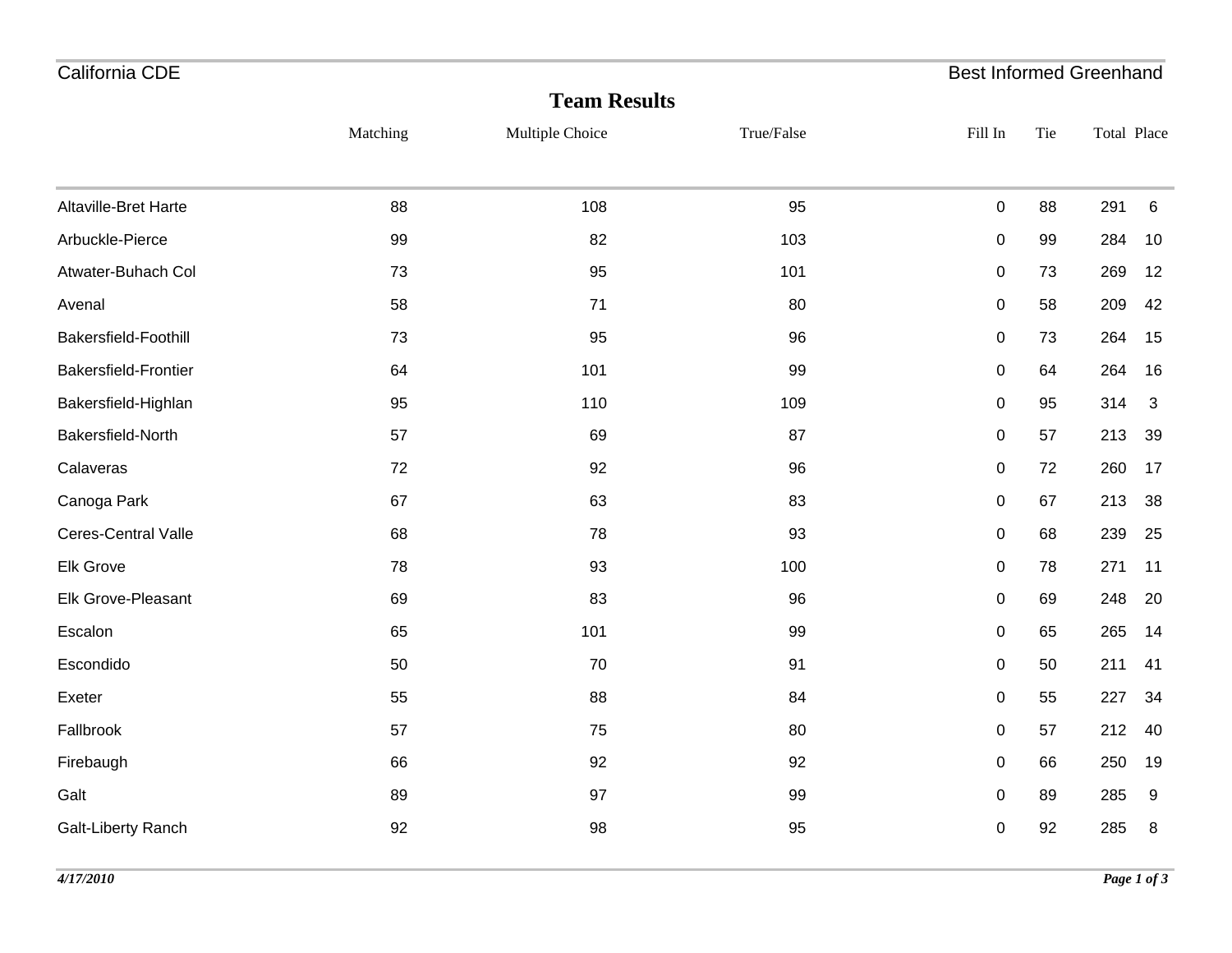| California CDE       |          |                     |            | <b>Best Informed Greenhand</b> |     |             |              |
|----------------------|----------|---------------------|------------|--------------------------------|-----|-------------|--------------|
|                      |          | <b>Team Results</b> |            |                                |     |             |              |
|                      | Matching | Multiple Choice     | True/False | Fill In                        | Tie | Total Place |              |
|                      |          |                     |            |                                |     |             |              |
| Altaville-Bret Harte | 88       | 108                 | 95         | $\pmb{0}$                      | 88  | 291         | 6            |
| Arbuckle-Pierce      | 99       | 82                  | 103        | $\pmb{0}$                      | 99  | 284         | 10           |
| Atwater-Buhach Col   | 73       | 95                  | 101        | 0                              | 73  | 269         | 12           |
| Avenal               | 58       | 71                  | 80         | 0                              | 58  | 209         | 42           |
| Bakersfield-Foothill | 73       | 95                  | 96         | 0                              | 73  | 264         | 15           |
| Bakersfield-Frontier | 64       | 101                 | 99         | 0                              | 64  | 264         | 16           |
| Bakersfield-Highlan  | 95       | 110                 | 109        | 0                              | 95  | 314         | $\mathbf{3}$ |
| Bakersfield-North    | 57       | 69                  | 87         | $\pmb{0}$                      | 57  | 213         | 39           |
| Calaveras            | 72       | 92                  | 96         | 0                              | 72  | 260         | 17           |
| Canoga Park          | 67       | 63                  | 83         | $\pmb{0}$                      | 67  | 213         | 38           |
| Ceres-Central Valle  | 68       | 78                  | 93         | $\pmb{0}$                      | 68  | 239         | 25           |
| Elk Grove            | 78       | 93                  | 100        | 0                              | 78  | 271         | 11           |
| Elk Grove-Pleasant   | 69       | 83                  | 96         | $\pmb{0}$                      | 69  | 248         | 20           |
| Escalon              | 65       | 101                 | 99         | 0                              | 65  | 265         | 14           |
| Escondido            | 50       | 70                  | 91         | 0                              | 50  | 211         | 41           |
| Exeter               | 55       | 88                  | 84         | 0                              | 55  | 227         | 34           |
| Fallbrook            | 57       | 75                  | 80         | 0                              | 57  | 212         | 40           |
| Firebaugh            | 66       | 92                  | 92         | $\pmb{0}$                      | 66  | 250         | 19           |
| Galt                 | 89       | 97                  | 99         | $\pmb{0}$                      | 89  | 285         | 9            |
| Galt-Liberty Ranch   | 92       | 98                  | 95         | 0                              | 92  | 285         | 8            |
|                      |          |                     |            |                                |     |             |              |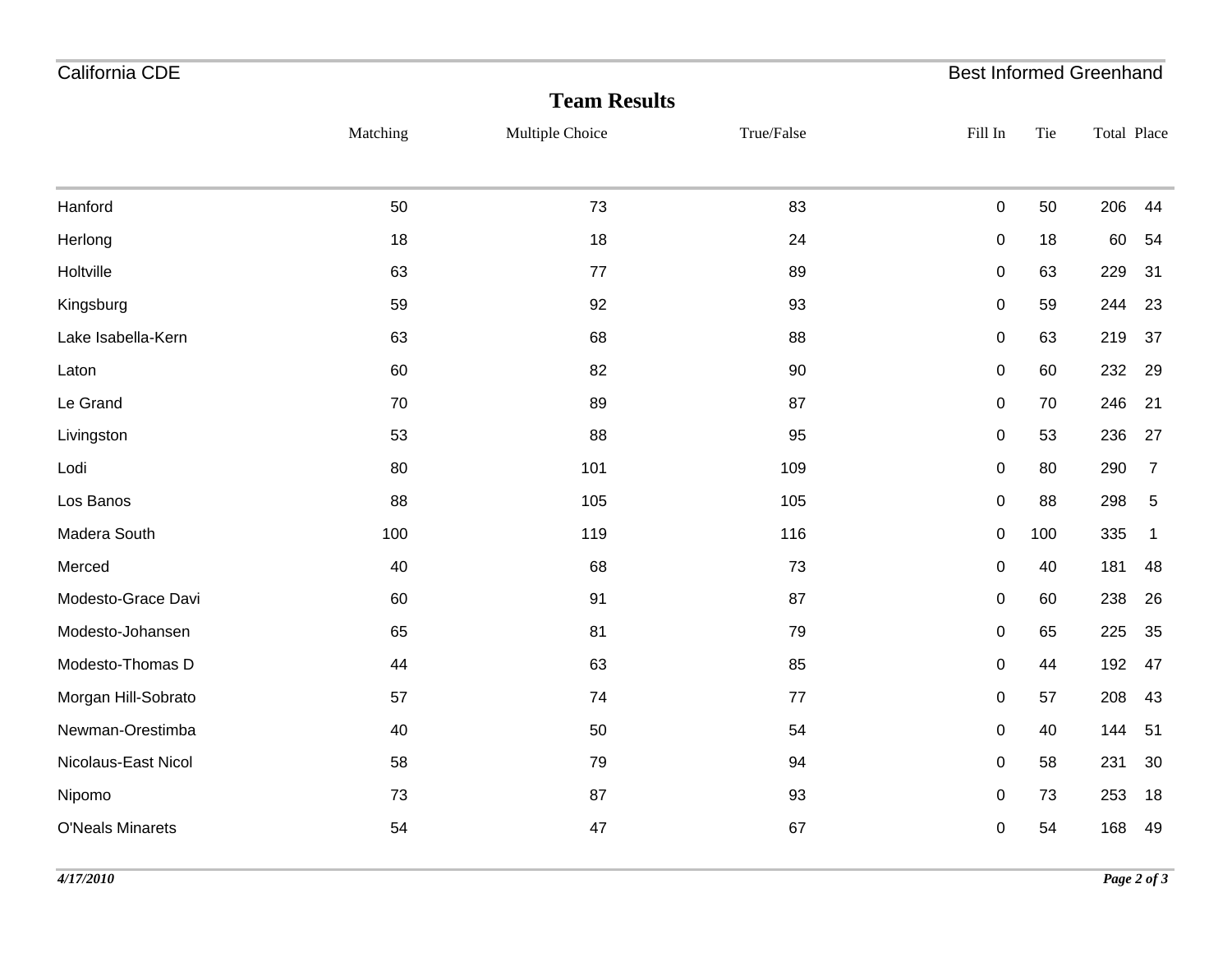| California CDE          |          |                     |            | <b>Best Informed Greenhand</b> |     |             |                |
|-------------------------|----------|---------------------|------------|--------------------------------|-----|-------------|----------------|
|                         |          | <b>Team Results</b> |            |                                |     |             |                |
|                         | Matching | Multiple Choice     | True/False | Fill In                        | Tie | Total Place |                |
| Hanford                 | 50       | 73                  | 83         | $\pmb{0}$                      | 50  | 206         | 44             |
| Herlong                 | 18       | 18                  | 24         | 0                              | 18  | 60          | 54             |
| Holtville               | 63       | 77                  | 89         | 0                              | 63  | 229         | 31             |
| Kingsburg               | 59       | 92                  | 93         | 0                              | 59  | 244         | 23             |
| Lake Isabella-Kern      | 63       | 68                  | 88         | 0                              | 63  | 219         | 37             |
| Laton                   | 60       | 82                  | 90         | $\pmb{0}$                      | 60  | 232         | 29             |
| Le Grand                | 70       | 89                  | 87         | $\pmb{0}$                      | 70  | 246         | 21             |
| Livingston              | 53       | 88                  | 95         | $\pmb{0}$                      | 53  | 236         | 27             |
| Lodi                    | 80       | 101                 | 109        | $\pmb{0}$                      | 80  | 290         | $\overline{7}$ |
| Los Banos               | 88       | 105                 | 105        | $\pmb{0}$                      | 88  | 298         | $\sqrt{5}$     |
| Madera South            | 100      | 119                 | 116        | $\pmb{0}$                      | 100 | 335         | $\overline{1}$ |
| Merced                  | 40       | 68                  | 73         | $\pmb{0}$                      | 40  | 181         | 48             |
| Modesto-Grace Davi      | 60       | 91                  | 87         | 0                              | 60  | 238         | 26             |
| Modesto-Johansen        | 65       | 81                  | 79         | $\pmb{0}$                      | 65  | 225         | 35             |
| Modesto-Thomas D        | 44       | 63                  | 85         | $\pmb{0}$                      | 44  | 192         | 47             |
| Morgan Hill-Sobrato     | 57       | 74                  | 77         | $\mathsf 0$                    | 57  | 208         | 43             |
| Newman-Orestimba        | 40       | 50                  | 54         | $\pmb{0}$                      | 40  | 144         | 51             |
| Nicolaus-East Nicol     | 58       | 79                  | 94         | 0                              | 58  | 231         | 30             |
| Nipomo                  | 73       | 87                  | 93         | 0                              | 73  | 253         | 18             |
| <b>O'Neals Minarets</b> | 54       | 47                  | 67         | $\pmb{0}$                      | 54  | 168         | 49             |
|                         |          |                     |            |                                |     |             |                |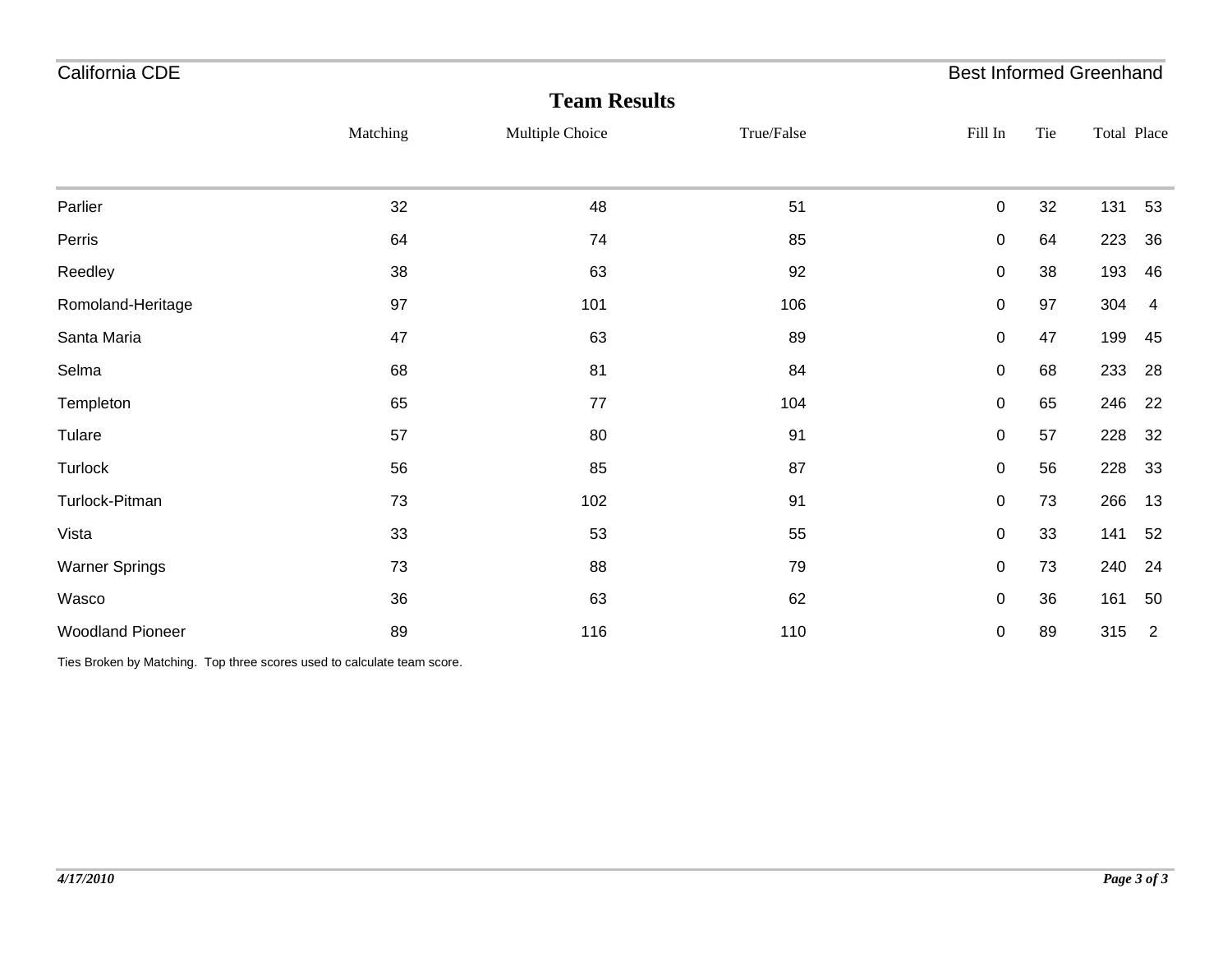| California CDE          |          |                     |            | <b>Best Informed Greenhand</b> |     |             |                |
|-------------------------|----------|---------------------|------------|--------------------------------|-----|-------------|----------------|
|                         |          | <b>Team Results</b> |            |                                |     |             |                |
|                         | Matching | Multiple Choice     | True/False | Fill In                        | Tie | Total Place |                |
|                         |          |                     |            |                                |     |             |                |
| Parlier                 | 32       | 48                  | 51         | 0                              | 32  | 131         | 53             |
| Perris                  | 64       | 74                  | 85         | $\pmb{0}$                      | 64  | 223         | 36             |
| Reedley                 | 38       | 63                  | 92         | $\mathbf 0$                    | 38  | 193         | 46             |
| Romoland-Heritage       | 97       | 101                 | 106        | $\pmb{0}$                      | 97  | 304         | $\overline{4}$ |
| Santa Maria             | 47       | 63                  | 89         | 0                              | 47  | 199         | 45             |
| Selma                   | 68       | 81                  | 84         | $\pmb{0}$                      | 68  | 233         | 28             |
| Templeton               | 65       | 77                  | 104        | $\pmb{0}$                      | 65  | 246         | 22             |
| Tulare                  | 57       | 80                  | 91         | $\pmb{0}$                      | 57  | 228         | 32             |
| Turlock                 | 56       | 85                  | 87         | 0                              | 56  | 228         | 33             |
| Turlock-Pitman          | 73       | 102                 | 91         | $\pmb{0}$                      | 73  | 266         | 13             |
| Vista                   | 33       | 53                  | 55         | $\pmb{0}$                      | 33  | 141         | 52             |
| <b>Warner Springs</b>   | 73       | 88                  | 79         | 0                              | 73  | 240         | 24             |
| Wasco                   | 36       | 63                  | 62         | $\pmb{0}$                      | 36  | 161         | 50             |
| <b>Woodland Pioneer</b> | 89       | 116                 | 110        | $\pmb{0}$                      | 89  | 315         | $\overline{2}$ |

Ties Broken by Matching. Top three scores used to calculate team score.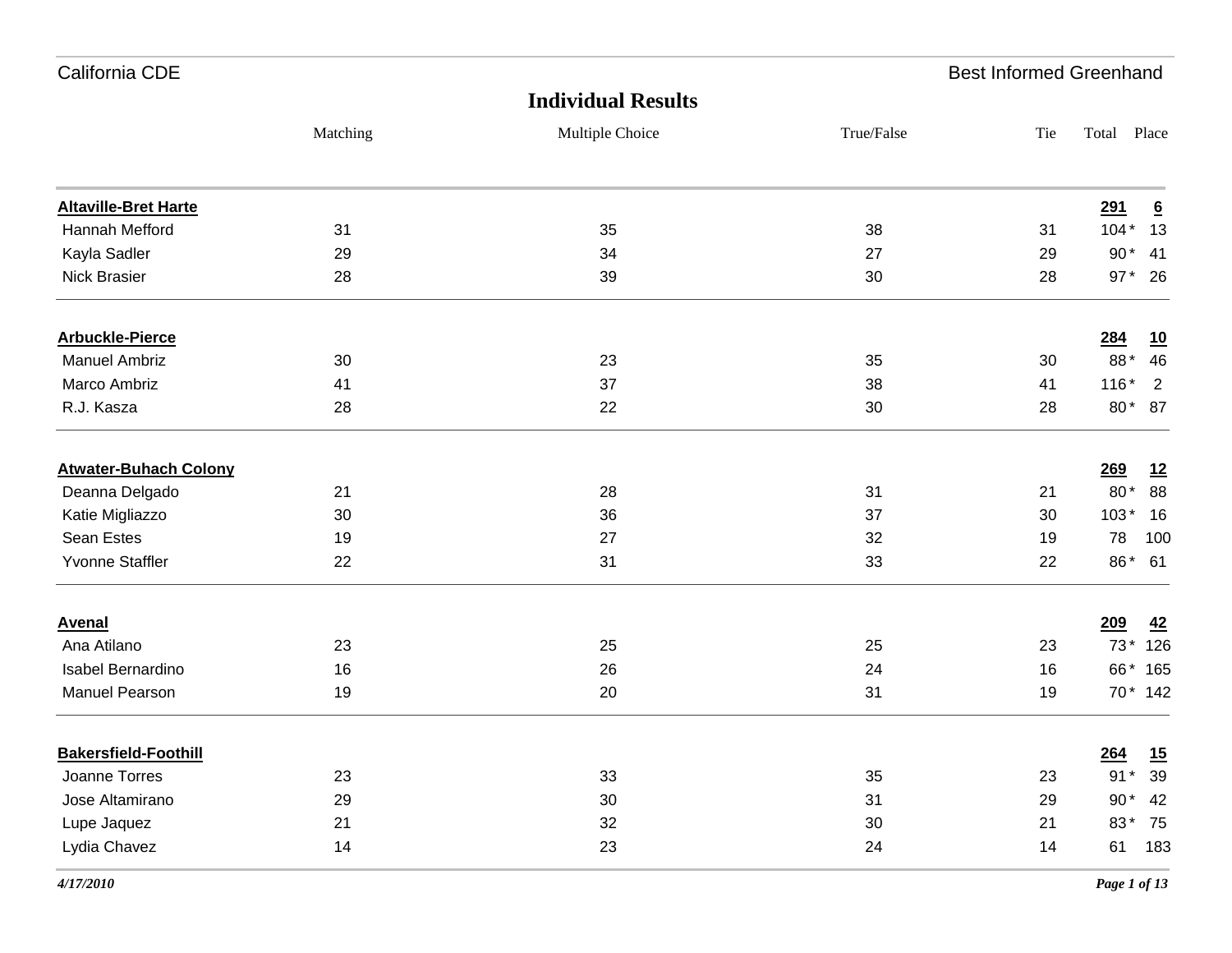| California CDE               |          |                           |            | <b>Best Informed Greenhand</b> |             |                  |
|------------------------------|----------|---------------------------|------------|--------------------------------|-------------|------------------|
|                              |          | <b>Individual Results</b> |            |                                |             |                  |
|                              | Matching | Multiple Choice           | True/False | Tie                            | Total Place |                  |
| <b>Altaville-Bret Harte</b>  |          |                           |            |                                | 291         | $\underline{6}$  |
| Hannah Mefford               | 31       | 35                        | 38         | 31                             | $104*$      | 13               |
| Kayla Sadler                 | 29       | 34                        | 27         | 29                             | $90*$       | 41               |
| <b>Nick Brasier</b>          | 28       | 39                        | 30         | 28                             | $97*$       | 26               |
| <b>Arbuckle-Pierce</b>       |          |                           |            |                                | 284         | $\underline{10}$ |
| <b>Manuel Ambriz</b>         | 30       | 23                        | 35         | 30                             | 88*         | 46               |
| Marco Ambriz                 | 41       | 37                        | 38         | 41                             | $116*$      | $\overline{2}$   |
| R.J. Kasza                   | 28       | 22                        | 30         | 28                             | $80*$       | 87               |
| <b>Atwater-Buhach Colony</b> |          |                           |            |                                | 269         | 12               |
| Deanna Delgado               | 21       | 28                        | 31         | 21                             | 80*         | 88               |
| Katie Migliazzo              | 30       | 36                        | 37         | 30                             | $103*$      | 16               |
| Sean Estes                   | 19       | 27                        | 32         | 19                             | 78          | 100              |
| Yvonne Staffler              | 22       | 31                        | 33         | 22                             | 86*         | 61               |
| <b>Avenal</b>                |          |                           |            |                                | 209         | 42               |
| Ana Atilano                  | 23       | 25                        | 25         | 23                             | $73*$       | 126              |
| Isabel Bernardino            | 16       | 26                        | 24         | 16                             | 66*         | 165              |
| <b>Manuel Pearson</b>        | 19       | 20                        | 31         | 19                             |             | 70 * 142         |
| <b>Bakersfield-Foothill</b>  |          |                           |            |                                | <u>264</u>  | $\underline{15}$ |
| Joanne Torres                | 23       | 33                        | 35         | 23                             | $91*$       | 39               |
| Jose Altamirano              | 29       | 30                        | 31         | 29                             | $90*$       | 42               |
| Lupe Jaquez                  | 21       | 32                        | $30\,$     | 21                             | 83*         | 75               |
| Lydia Chavez                 | 14       | 23                        | 24         | 14                             | 61          | 183              |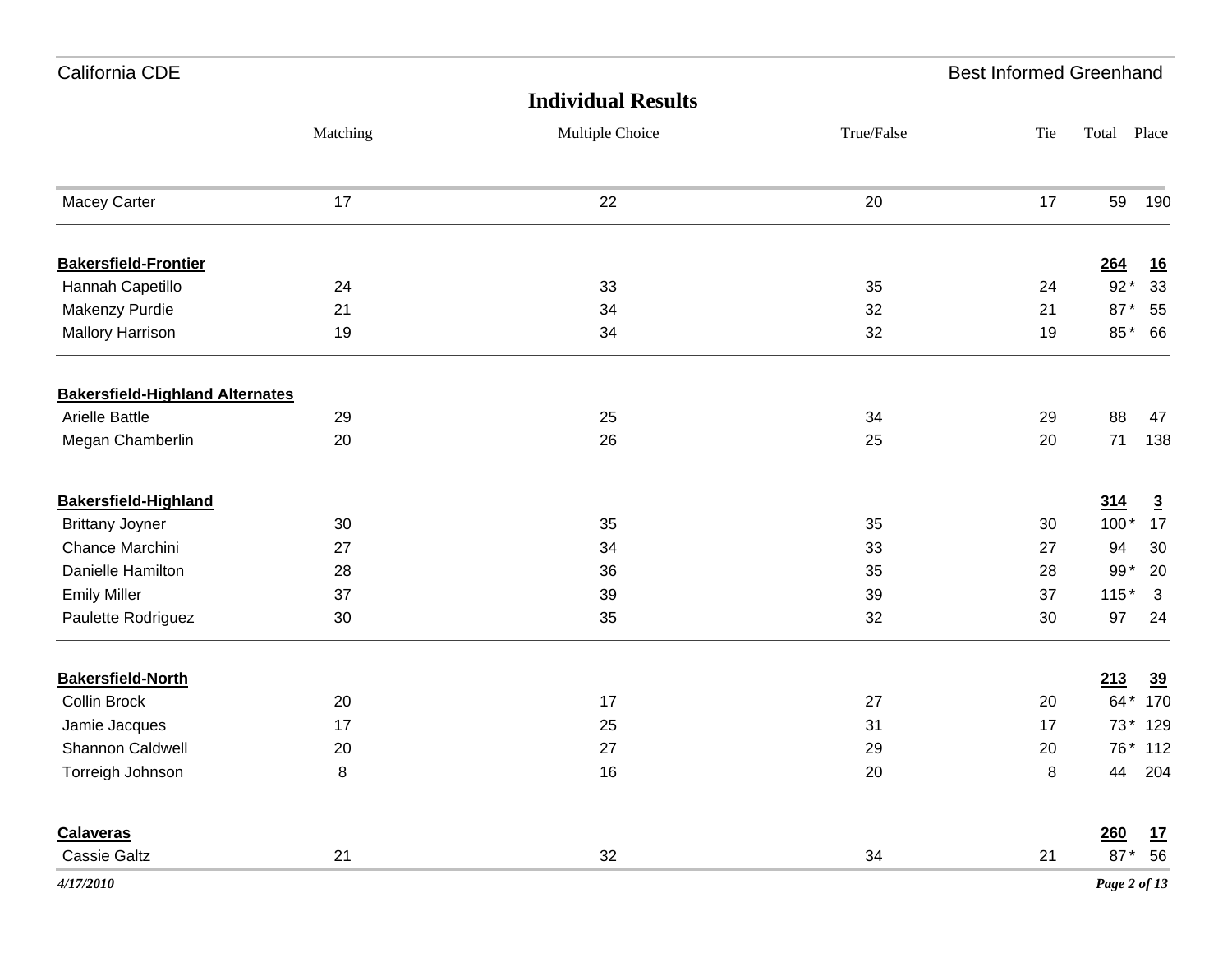| California CDE                         |          |                           |            | <b>Best Informed Greenhand</b> |              |                |
|----------------------------------------|----------|---------------------------|------------|--------------------------------|--------------|----------------|
|                                        |          | <b>Individual Results</b> |            |                                |              |                |
|                                        | Matching | Multiple Choice           | True/False | Tie                            | Total Place  |                |
| <b>Macey Carter</b>                    | 17       | 22                        | 20         | 17                             | 59           | 190            |
| <b>Bakersfield-Frontier</b>            |          |                           |            |                                | 264          | <u>16</u>      |
| Hannah Capetillo                       | 24       | 33                        | 35         | 24                             | $92*$        | 33             |
| Makenzy Purdie                         | 21       | 34                        | 32         | 21                             | 87*          | 55             |
| <b>Mallory Harrison</b>                | 19       | 34                        | 32         | 19                             | 85*          | 66             |
| <b>Bakersfield-Highland Alternates</b> |          |                           |            |                                |              |                |
| <b>Arielle Battle</b>                  | 29       | 25                        | 34         | 29                             | 88           | 47             |
| Megan Chamberlin                       | 20       | 26                        | 25         | 20                             | 71           | 138            |
| <b>Bakersfield-Highland</b>            |          |                           |            |                                | 314          | $\overline{3}$ |
| <b>Brittany Joyner</b>                 | 30       | 35                        | 35         | 30                             | $100*$       | 17             |
| Chance Marchini                        | 27       | 34                        | 33         | 27                             | 94           | 30             |
| Danielle Hamilton                      | 28       | 36                        | 35         | 28                             | $99*$        | 20             |
| <b>Emily Miller</b>                    | 37       | 39                        | 39         | 37                             | $115*$       | 3              |
| Paulette Rodriguez                     | $30\,$   | 35                        | 32         | 30                             | 97           | 24             |
| <b>Bakersfield-North</b>               |          |                           |            |                                | 213          | 39             |
| <b>Collin Brock</b>                    | 20       | 17                        | 27         | 20                             | 64 * 170     |                |
| Jamie Jacques                          | 17       | 25                        | 31         | 17                             | 73* 129      |                |
| Shannon Caldwell                       | 20       | $27\,$                    | 29         | $20\,$                         | 76* 112      |                |
| Torreigh Johnson                       | $\bf 8$  | 16                        | 20         | 8                              | 44           | 204            |
| <b>Calaveras</b>                       |          |                           |            |                                | 260          | 17             |
| <b>Cassie Galtz</b>                    | 21       | 32                        | 34         | 21                             | 87* 56       |                |
| 4/17/2010                              |          |                           |            |                                | Page 2 of 13 |                |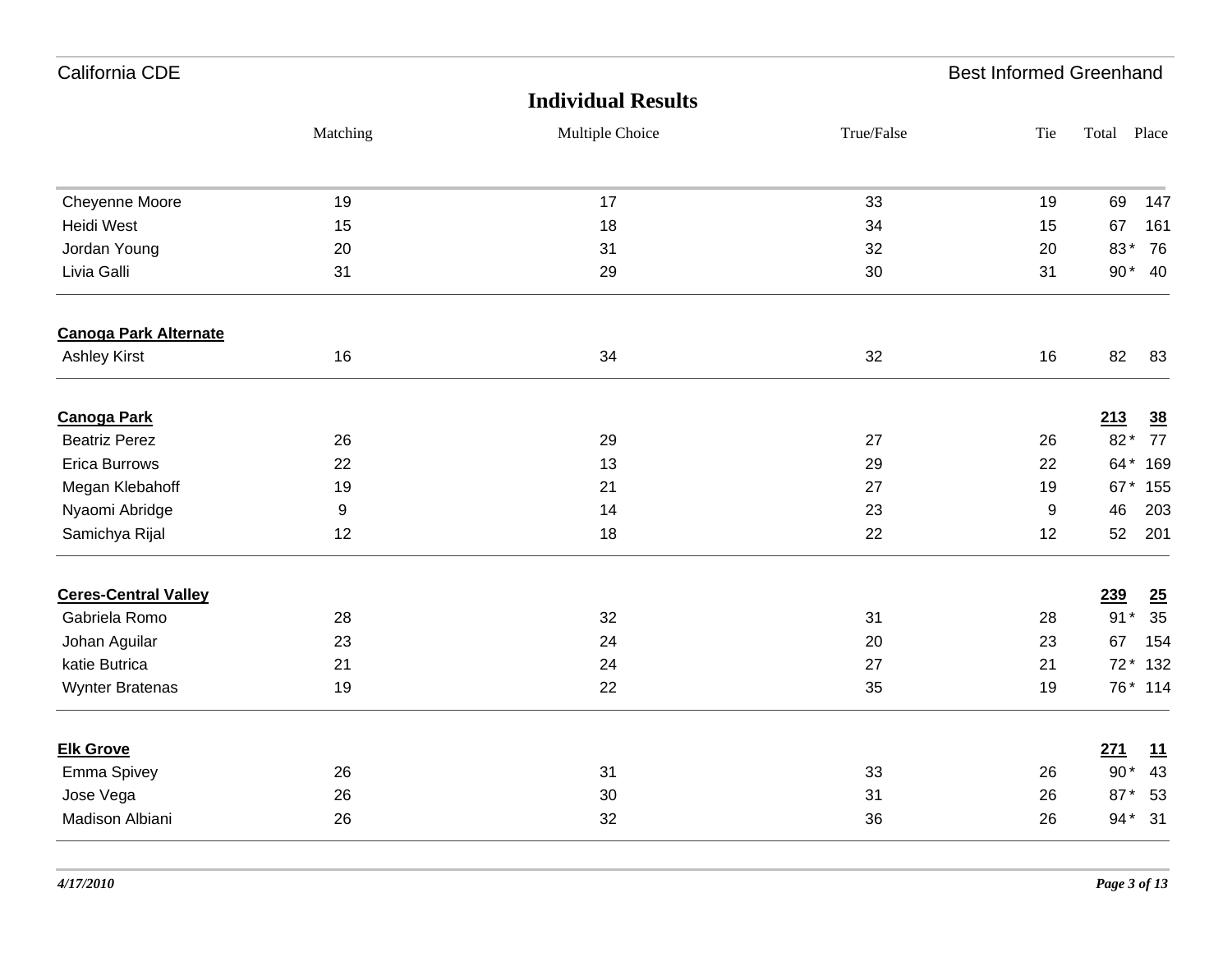| California CDE               |                  |                           |            | <b>Best Informed Greenhand</b> |       |         |
|------------------------------|------------------|---------------------------|------------|--------------------------------|-------|---------|
|                              |                  | <b>Individual Results</b> |            |                                |       |         |
|                              | Matching         | Multiple Choice           | True/False | Tie                            | Total | Place   |
| Cheyenne Moore               | 19               | 17                        | 33         | 19                             | 69    | 147     |
| Heidi West                   | 15               | 18                        | 34         | 15                             | 67    | 161     |
| Jordan Young                 | 20               | 31                        | 32         | 20                             | 83*   | 76      |
| Livia Galli                  | 31               | 29                        | 30         | 31                             | $90*$ | 40      |
| <b>Canoga Park Alternate</b> |                  |                           |            |                                |       |         |
| <b>Ashley Kirst</b>          | 16               | 34                        | 32         | 16                             | 82    | 83      |
| <b>Canoga Park</b>           |                  |                           |            |                                | 213   | 38      |
| <b>Beatriz Perez</b>         | 26               | 29                        | 27         | 26                             | $82*$ | 77      |
| <b>Erica Burrows</b>         | 22               | 13                        | 29         | 22                             | 64*   | 169     |
| Megan Klebahoff              | 19               | 21                        | 27         | 19                             | 67*   | 155     |
| Nyaomi Abridge               | $\boldsymbol{9}$ | 14                        | 23         | $\boldsymbol{9}$               | 46    | 203     |
| Samichya Rijal               | 12               | 18                        | 22         | 12                             | 52    | 201     |
| <b>Ceres-Central Valley</b>  |                  |                           |            |                                | 239   | 25      |
| Gabriela Romo                | 28               | 32                        | 31         | 28                             | $91*$ | 35      |
| Johan Aguilar                | 23               | 24                        | 20         | 23                             | 67    | 154     |
| katie Butrica                | 21               | 24                        | 27         | 21                             | $72*$ | 132     |
| <b>Wynter Bratenas</b>       | 19               | 22                        | 35         | 19                             |       | 76* 114 |
| <b>Elk Grove</b>             |                  |                           |            |                                | 271   | 11      |
| Emma Spivey                  | 26               | 31                        | 33         | 26                             | $90*$ | 43      |
| Jose Vega                    | 26               | 30                        | 31         | 26                             | 87*   | 53      |
| Madison Albiani              | 26               | 32                        | 36         | 26                             | $94*$ | 31      |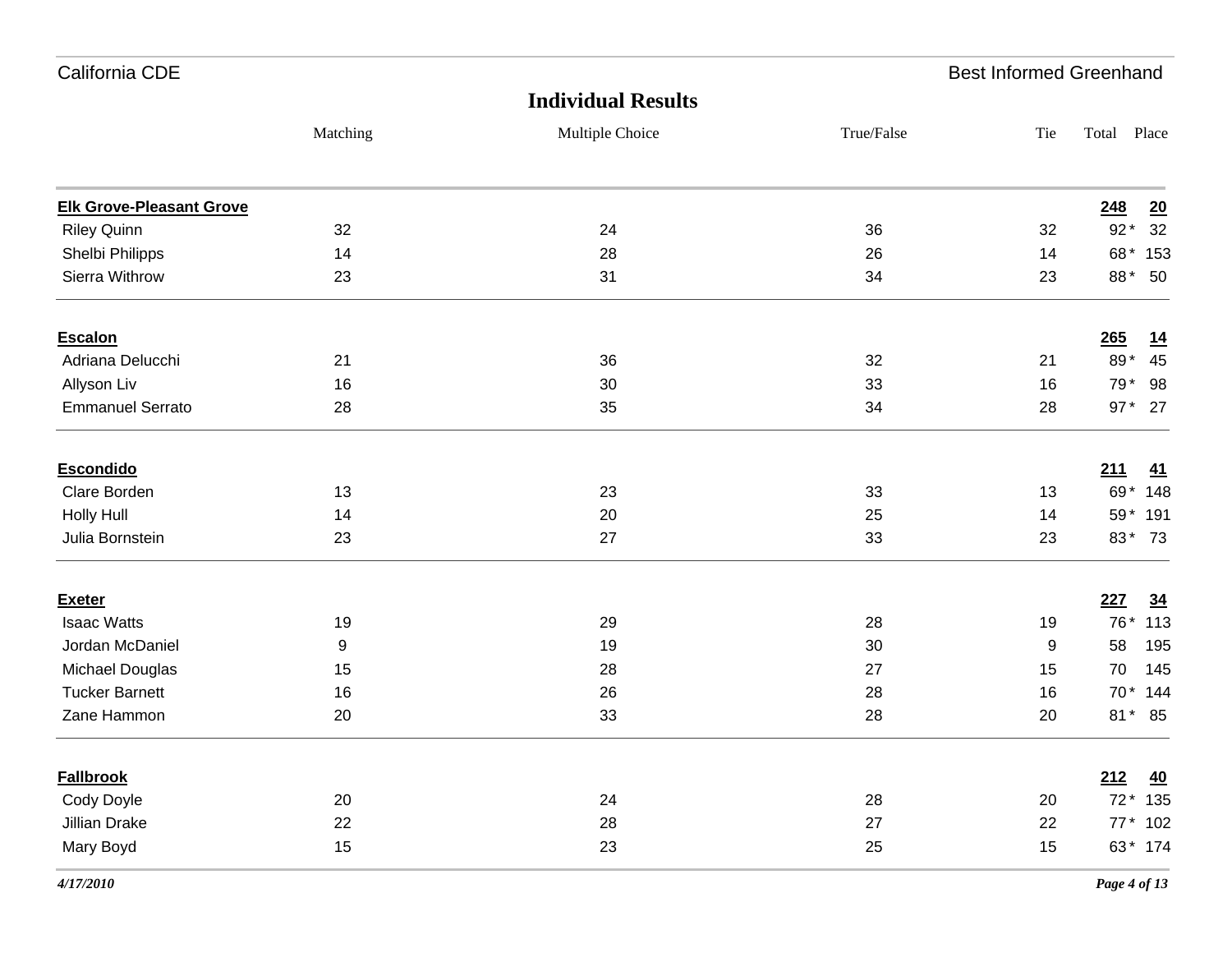| California CDE                  |          |                           |            | <b>Best Informed Greenhand</b> |             |           |
|---------------------------------|----------|---------------------------|------------|--------------------------------|-------------|-----------|
|                                 |          | <b>Individual Results</b> |            |                                |             |           |
|                                 | Matching | Multiple Choice           | True/False | Tie                            | Total Place |           |
| <b>Elk Grove-Pleasant Grove</b> |          |                           |            |                                | 248         | 20        |
| <b>Riley Quinn</b>              | 32       | 24                        | 36         | 32                             | $92*$       | 32        |
| Shelbi Philipps                 | 14       | 28                        | 26         | 14                             | 68*         | 153       |
| Sierra Withrow                  | 23       | 31                        | 34         | 23                             | 88*         | 50        |
| <b>Escalon</b>                  |          |                           |            |                                | 265         | <u>14</u> |
| Adriana Delucchi                | 21       | 36                        | 32         | 21                             | 89*         | 45        |
| Allyson Liv                     | 16       | 30                        | 33         | 16                             | 79*         | 98        |
| <b>Emmanuel Serrato</b>         | 28       | 35                        | 34         | 28                             | $97*$       | 27        |
| <b>Escondido</b>                |          |                           |            |                                | 211         | 41        |
| Clare Borden                    | 13       | 23                        | 33         | 13                             | 69*         | 148       |
| <b>Holly Hull</b>               | 14       | 20                        | 25         | 14                             | 59*         | 191       |
| Julia Bornstein                 | 23       | 27                        | 33         | 23                             | 83*         | 73        |
| <b>Exeter</b>                   |          |                           |            |                                | 227         | 34        |
| <b>Isaac Watts</b>              | 19       | 29                        | 28         | 19                             | 76*         | 113       |
| Jordan McDaniel                 | 9        | 19                        | 30         | 9                              | 58          | 195       |
| Michael Douglas                 | 15       | 28                        | 27         | 15                             | 70          | 145       |
| <b>Tucker Barnett</b>           | 16       | 26                        | 28         | 16                             | $70*$       | 144       |
| Zane Hammon                     | 20       | 33                        | 28         | 20                             | $81*$       | 85        |
| <b>Fallbrook</b>                |          |                           |            |                                | 212         | 40        |
| Cody Doyle                      | 20       | 24                        | 28         | 20                             |             | 72 * 135  |
| Jillian Drake                   | 22       | 28                        | 27         | 22                             |             | 77 * 102  |
| Mary Boyd                       | 15       | 23                        | 25         | 15                             |             | 63* 174   |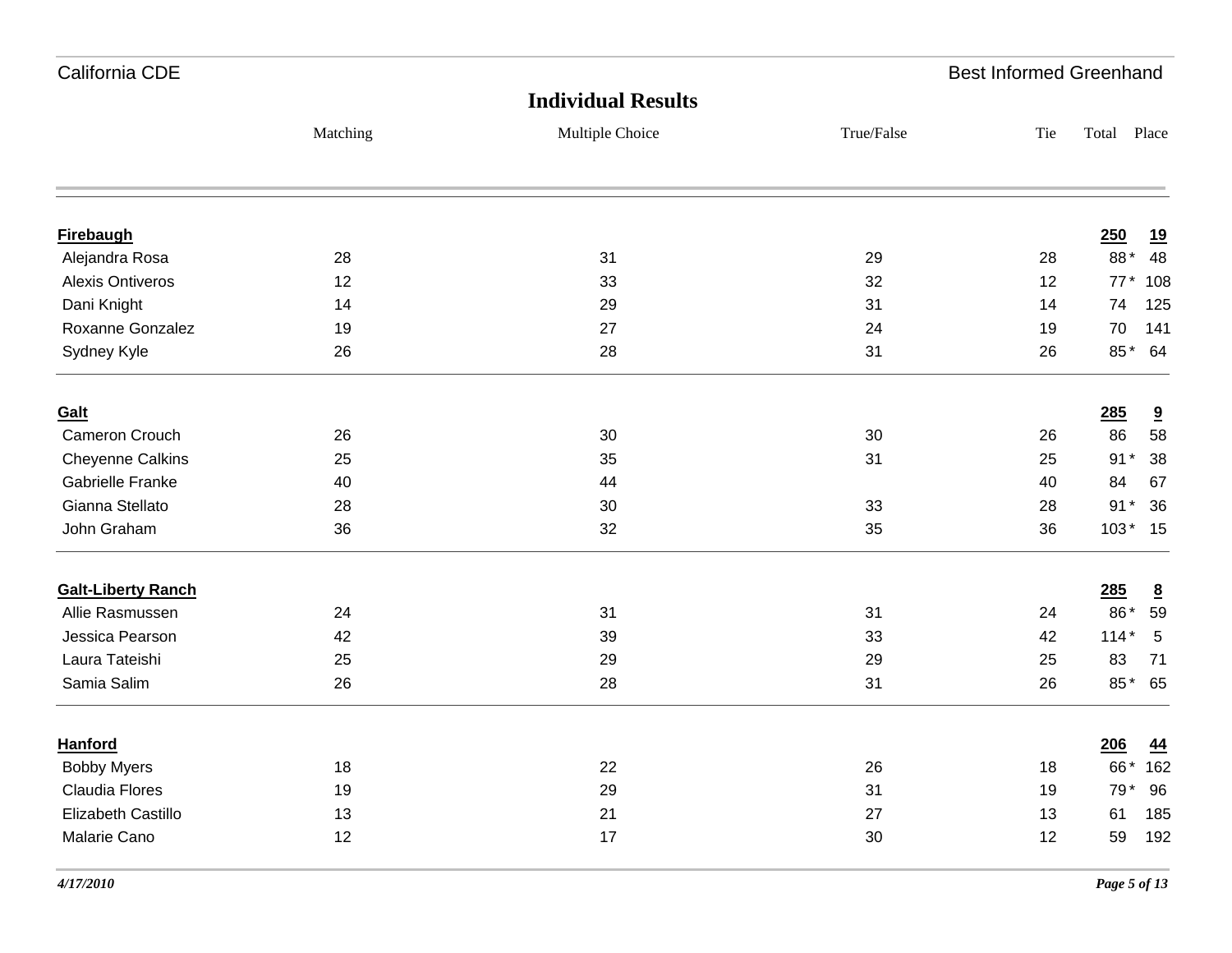| California CDE            |          |                           |            | <b>Best Informed Greenhand</b> |                           |
|---------------------------|----------|---------------------------|------------|--------------------------------|---------------------------|
|                           |          | <b>Individual Results</b> |            |                                |                           |
|                           | Matching | Multiple Choice           | True/False | Tie                            | Total Place               |
|                           |          |                           |            |                                |                           |
| <b>Firebaugh</b>          |          |                           |            |                                | 250<br>19                 |
| Alejandra Rosa            | 28       | 31                        | 29         | 28                             | 88*<br>48                 |
| <b>Alexis Ontiveros</b>   | 12       | 33                        | 32         | 12                             | 77* 108                   |
| Dani Knight               | 14       | 29                        | 31         | 14                             | 74<br>125                 |
| Roxanne Gonzalez          | 19       | 27                        | 24         | 19                             | 70<br>141                 |
| Sydney Kyle               | 26       | 28                        | 31         | 26                             | 85* 64                    |
| Galt                      |          |                           |            |                                | 285<br>9                  |
| Cameron Crouch            | 26       | 30                        | 30         | 26                             | 58<br>86                  |
| <b>Cheyenne Calkins</b>   | 25       | 35                        | 31         | 25                             | $91*$<br>38               |
| <b>Gabrielle Franke</b>   | 40       | 44                        |            | 40                             | 84<br>67                  |
| Gianna Stellato           | 28       | 30                        | 33         | 28                             | $91*$<br>36               |
| John Graham               | 36       | 32                        | 35         | 36                             | $103*15$                  |
| <b>Galt-Liberty Ranch</b> |          |                           |            |                                | 285<br>$\underline{8}$    |
| Allie Rasmussen           | 24       | 31                        | 31         | 24                             | 86*<br>59                 |
| Jessica Pearson           | 42       | 39                        | 33         | 42                             | $114*$<br>$5\phantom{.0}$ |
| Laura Tateishi            | 25       | 29                        | 29         | 25                             | 83<br>71                  |
| Samia Salim               | 26       | 28                        | 31         | 26                             | 85* 65                    |
| <b>Hanford</b>            |          |                           |            |                                | 206<br>44                 |
| <b>Bobby Myers</b>        | 18       | 22                        | 26         | 18                             | 66* 162                   |
| <b>Claudia Flores</b>     | 19       | 29                        | 31         | 19                             | 79*<br>96                 |
| Elizabeth Castillo        | 13       | 21                        | 27         | 13                             | 185<br>61                 |
| Malarie Cano              | 12       | 17                        | 30         | 12                             | 59<br>192                 |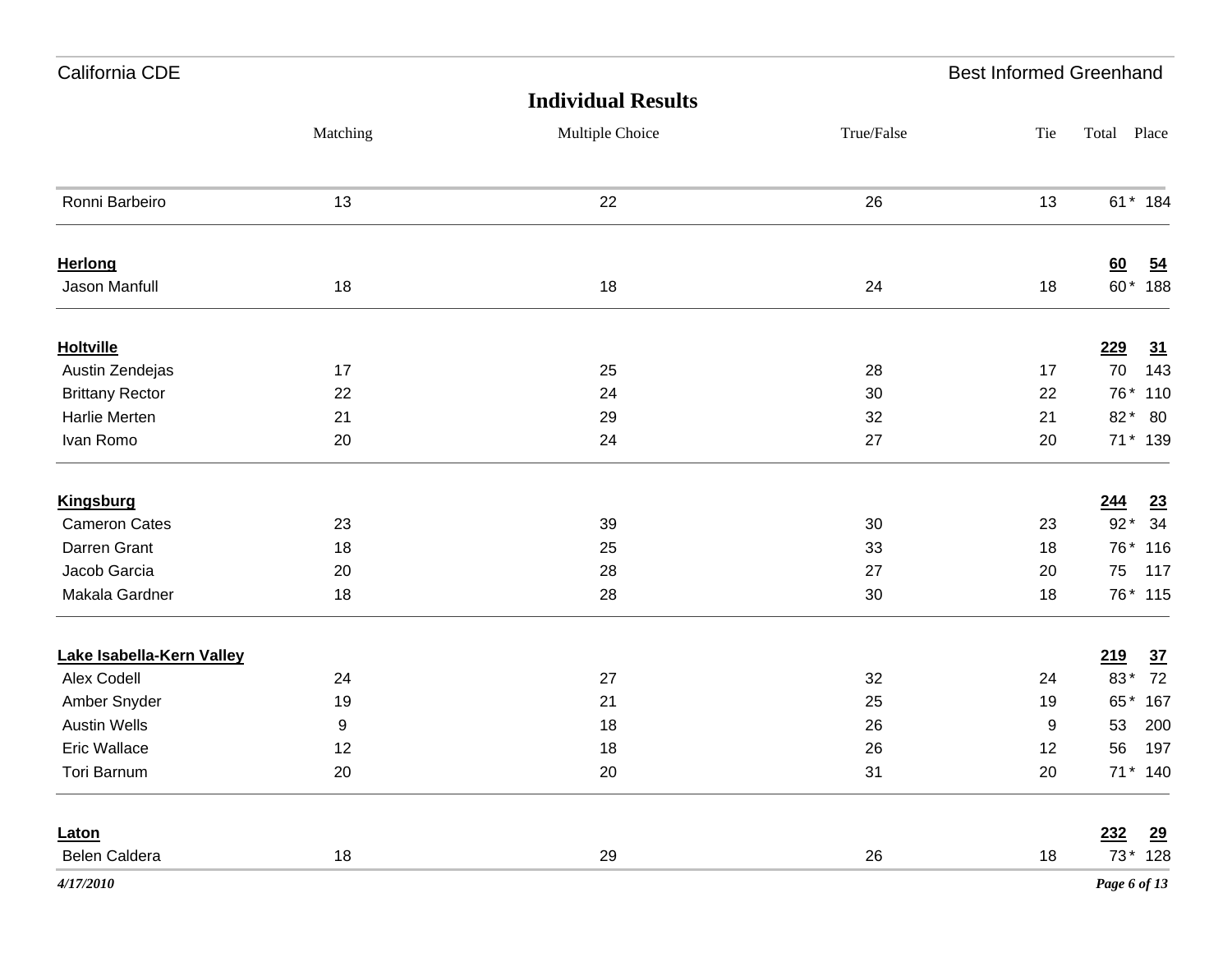| California CDE            |          |                           | <b>Best Informed Greenhand</b> |     |              |                |
|---------------------------|----------|---------------------------|--------------------------------|-----|--------------|----------------|
|                           |          | <b>Individual Results</b> |                                |     |              |                |
|                           | Matching | Multiple Choice           | True/False                     | Tie | Total Place  |                |
| Ronni Barbeiro            | 13       | 22                        | 26                             | 13  |              | 61* 184        |
| Herlong                   |          |                           |                                |     | 60           | $\frac{54}{5}$ |
| Jason Manfull             | 18       | 18                        | 24                             | 18  |              | 60* 188        |
| <b>Holtville</b>          |          |                           |                                |     | 229          | <u>31</u>      |
| Austin Zendejas           | 17       | 25                        | 28                             | 17  | 70           | 143            |
| <b>Brittany Rector</b>    | 22       | 24                        | 30                             | 22  |              | 76* 110        |
| Harlie Merten             | 21       | 29                        | 32                             | 21  | $82*$        | - 80           |
| Ivan Romo                 | 20       | 24                        | 27                             | 20  |              | 71 * 139       |
| <b>Kingsburg</b>          |          |                           |                                |     | <u>244</u>   | <u>23</u>      |
| <b>Cameron Cates</b>      | 23       | 39                        | 30                             | 23  | $92*$        | 34             |
| Darren Grant              | 18       | 25                        | 33                             | 18  |              | 76* 116        |
| Jacob Garcia              | 20       | 28                        | 27                             | 20  | 75           | 117            |
| Makala Gardner            | 18       | 28                        | 30                             | 18  |              | 76* 115        |
| Lake Isabella-Kern Valley |          |                           |                                |     | 219          | $\frac{37}{2}$ |
| Alex Codell               | 24       | 27                        | 32                             | 24  | 83*          | 72             |
| Amber Snyder              | 19       | 21                        | 25                             | 19  | 65*          | 167            |
| <b>Austin Wells</b>       | 9        | 18                        | 26                             | 9   | 53           | 200            |
| Eric Wallace              | 12       | 18                        | 26                             | 12  |              | 56 197         |
| Tori Barnum               | 20       | 20                        | 31                             | 20  | 71 * 140     |                |
| Laton                     |          |                           |                                |     | 232          | $\frac{29}{2}$ |
| Belen Caldera             | 18       | 29                        | 26                             | 18  |              | 73 * 128       |
| 4/17/2010                 |          |                           |                                |     | Page 6 of 13 |                |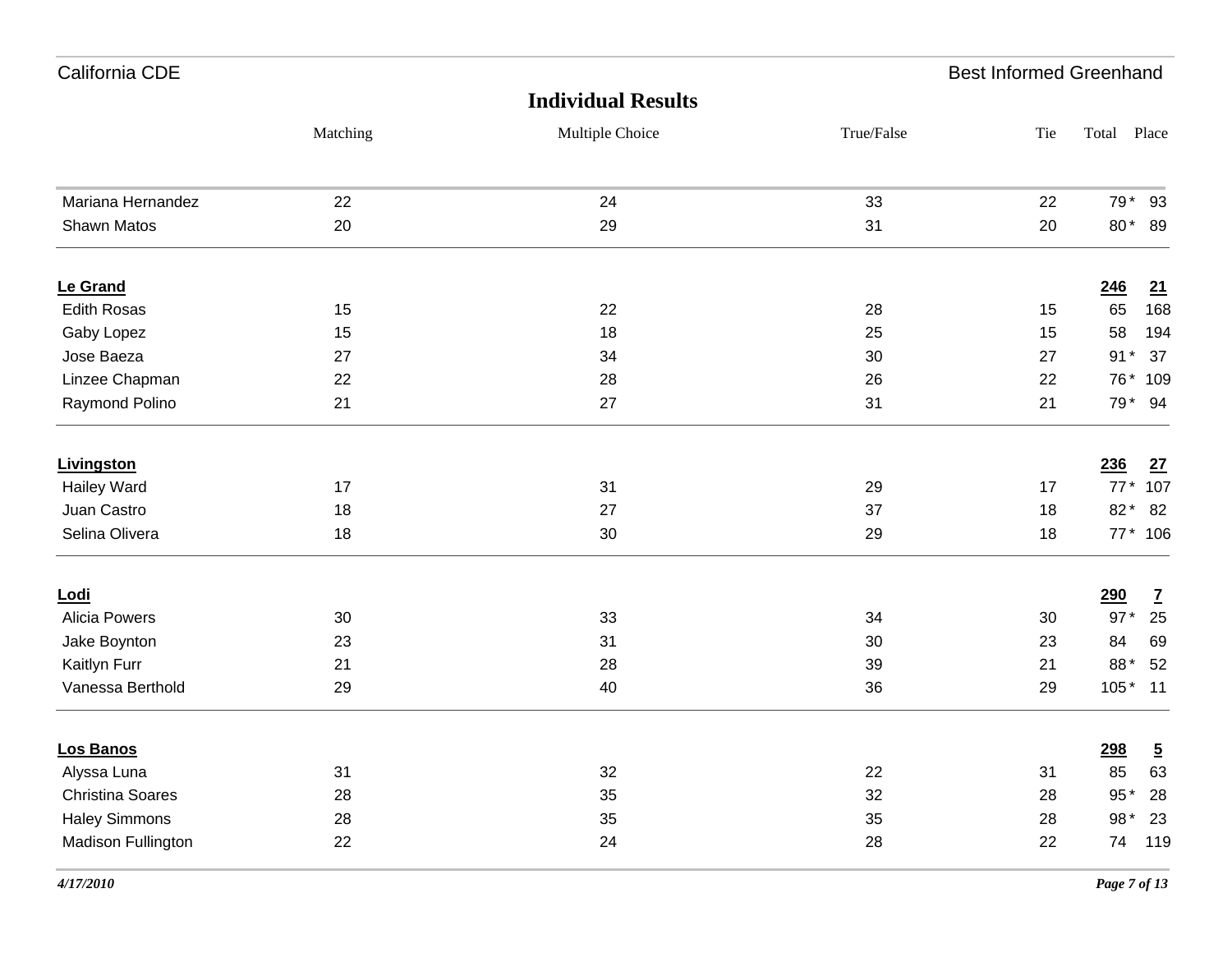| California CDE          |          |                           |            | <b>Best Informed Greenhand</b> |             |                |
|-------------------------|----------|---------------------------|------------|--------------------------------|-------------|----------------|
|                         |          | <b>Individual Results</b> |            |                                |             |                |
|                         | Matching | Multiple Choice           | True/False | Tie                            | Total Place |                |
| Mariana Hernandez       | 22       | 24                        | 33         | 22                             | 79*         | 93             |
| Shawn Matos             | 20       | 29                        | 31         | 20                             | 80*         | 89             |
| Le Grand                |          |                           |            |                                | 246         | <u>21</u>      |
| <b>Edith Rosas</b>      | 15       | 22                        | 28         | 15                             | 65          | 168            |
| Gaby Lopez              | 15       | 18                        | 25         | 15                             | 58          | 194            |
| Jose Baeza              | 27       | 34                        | 30         | 27                             | $91*$       | 37             |
| Linzee Chapman          | 22       | 28                        | 26         | 22                             | 76*         | 109            |
| Raymond Polino          | 21       | 27                        | 31         | 21                             | 79*         | 94             |
| Livingston              |          |                           |            |                                | 236         | <u>27</u>      |
| <b>Hailey Ward</b>      | 17       | 31                        | 29         | 17                             | $77*$       | 107            |
| Juan Castro             | 18       | 27                        | 37         | 18                             | 82*         | 82             |
| Selina Olivera          | 18       | 30                        | 29         | 18                             |             | 77* 106        |
| <u>Lodi</u>             |          |                           |            |                                | <b>290</b>  | $\mathbf{Z}$   |
| <b>Alicia Powers</b>    | 30       | 33                        | 34         | 30                             | $97*$       | 25             |
| Jake Boynton            | 23       | 31                        | 30         | 23                             | 84          | 69             |
| Kaitlyn Furr            | 21       | 28                        | 39         | 21                             | 88*         | 52             |
| Vanessa Berthold        | 29       | 40                        | 36         | 29                             | $105*$      | 11             |
| Los Banos               |          |                           |            |                                | <u>298</u>  | $\overline{5}$ |
| Alyssa Luna             | 31       | 32                        | 22         | 31                             | 85          | 63             |
| <b>Christina Soares</b> | 28       | 35                        | 32         | 28                             | $95*$       | 28             |
| <b>Haley Simmons</b>    | 28       | 35                        | 35         | 28                             | 98 *        | 23             |
| Madison Fullington      | 22       | 24                        | 28         | 22                             | 74          | 119            |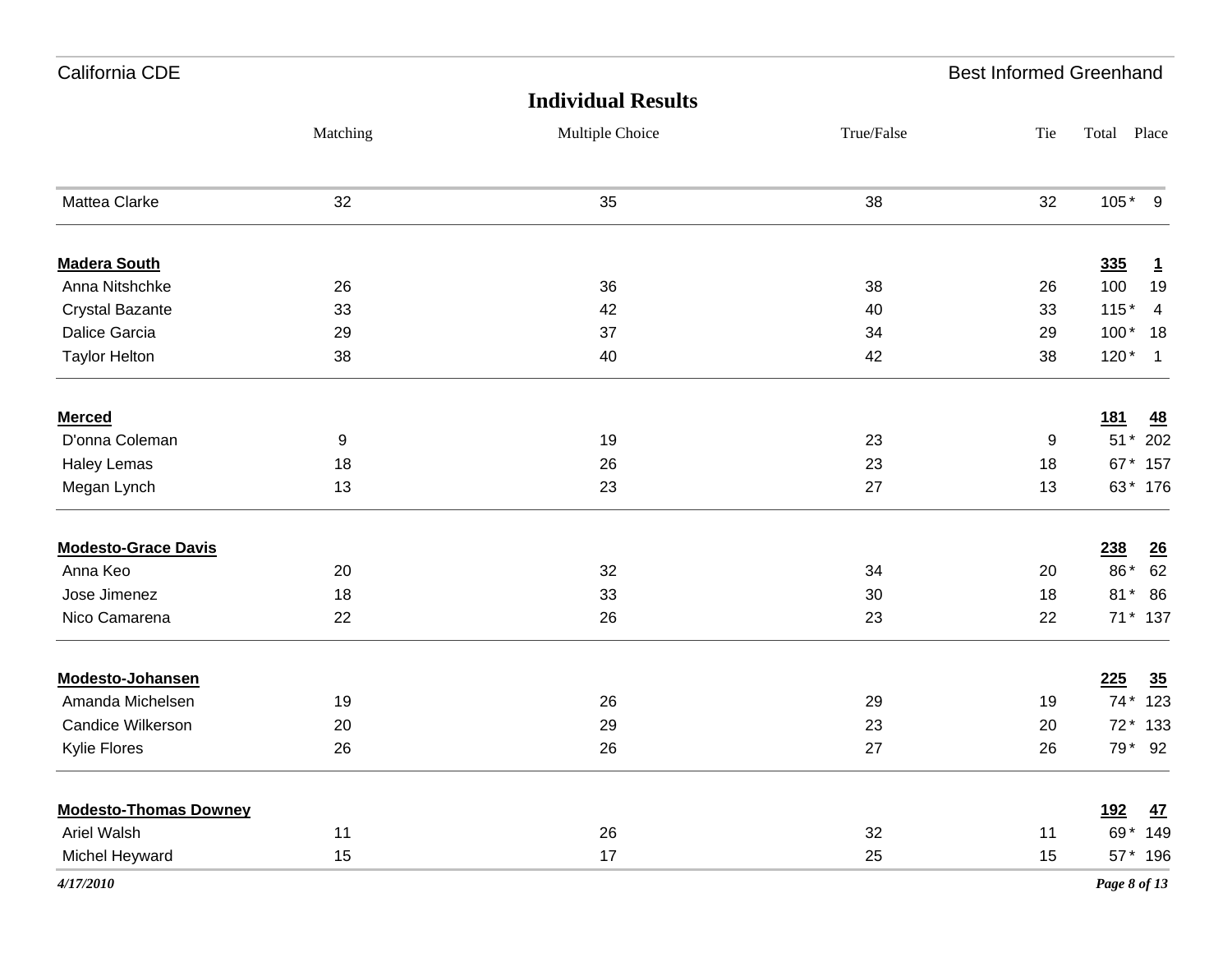| California CDE               |          |                 |            | <b>Best Informed Greenhand</b> |              |              |
|------------------------------|----------|-----------------|------------|--------------------------------|--------------|--------------|
|                              |          |                 |            |                                |              |              |
|                              | Matching | Multiple Choice | True/False | Tie                            | Total Place  |              |
| <b>Mattea Clarke</b>         | 32       | 35              | 38         | 32                             | $105*$       | 9            |
| <b>Madera South</b>          |          |                 |            |                                | 335          | $\mathbf{1}$ |
| Anna Nitshchke               | 26       | 36              | 38         | 26                             | 100          | 19           |
| Crystal Bazante              | 33       | 42              | 40         | 33                             | $115*$       | 4            |
| Dalice Garcia                | 29       | 37              | 34         | 29                             | $100*$       | 18           |
| <b>Taylor Helton</b>         | 38       | 40              | 42         | 38                             | $120*$       | $\mathbf{1}$ |
| <b>Merced</b>                |          |                 |            |                                | <u>181</u>   | <u>48</u>    |
| D'onna Coleman               | 9        | 19              | 23         | 9                              | $51*$        | 202          |
| <b>Haley Lemas</b>           | 18       | 26              | 23         | 18                             |              | 67 * 157     |
| Megan Lynch                  | 13       | 23              | 27         | 13                             |              | 63* 176      |
| <b>Modesto-Grace Davis</b>   |          |                 |            |                                | 238          | <u>26</u>    |
| Anna Keo                     | 20       | 32              | 34         | 20                             | 86*          | 62           |
| Jose Jimenez                 | 18       | 33              | 30         | 18                             | $81*$        | 86           |
| Nico Camarena                | 22       | 26              | 23         | 22                             |              | 71 * 137     |
| <b>Modesto-Johansen</b>      |          |                 |            |                                | 225          | 35           |
| Amanda Michelsen             | 19       | 26              | 29         | 19                             | $74*$        | 123          |
| Candice Wilkerson            | 20       | 29              | 23         | 20                             |              | 72 * 133     |
| Kylie Flores                 | 26       | 26              | $27\,$     | 26                             |              | 79 * 92      |
| <b>Modesto-Thomas Downey</b> |          |                 |            |                                | <u>192</u>   | <u>47</u>    |
| Ariel Walsh                  | 11       | 26              | 32         | 11                             |              | 69* 149      |
| Michel Heyward               | 15       | 17              | 25         | 15                             |              | 57 * 196     |
| 4/17/2010                    |          |                 |            |                                | Page 8 of 13 |              |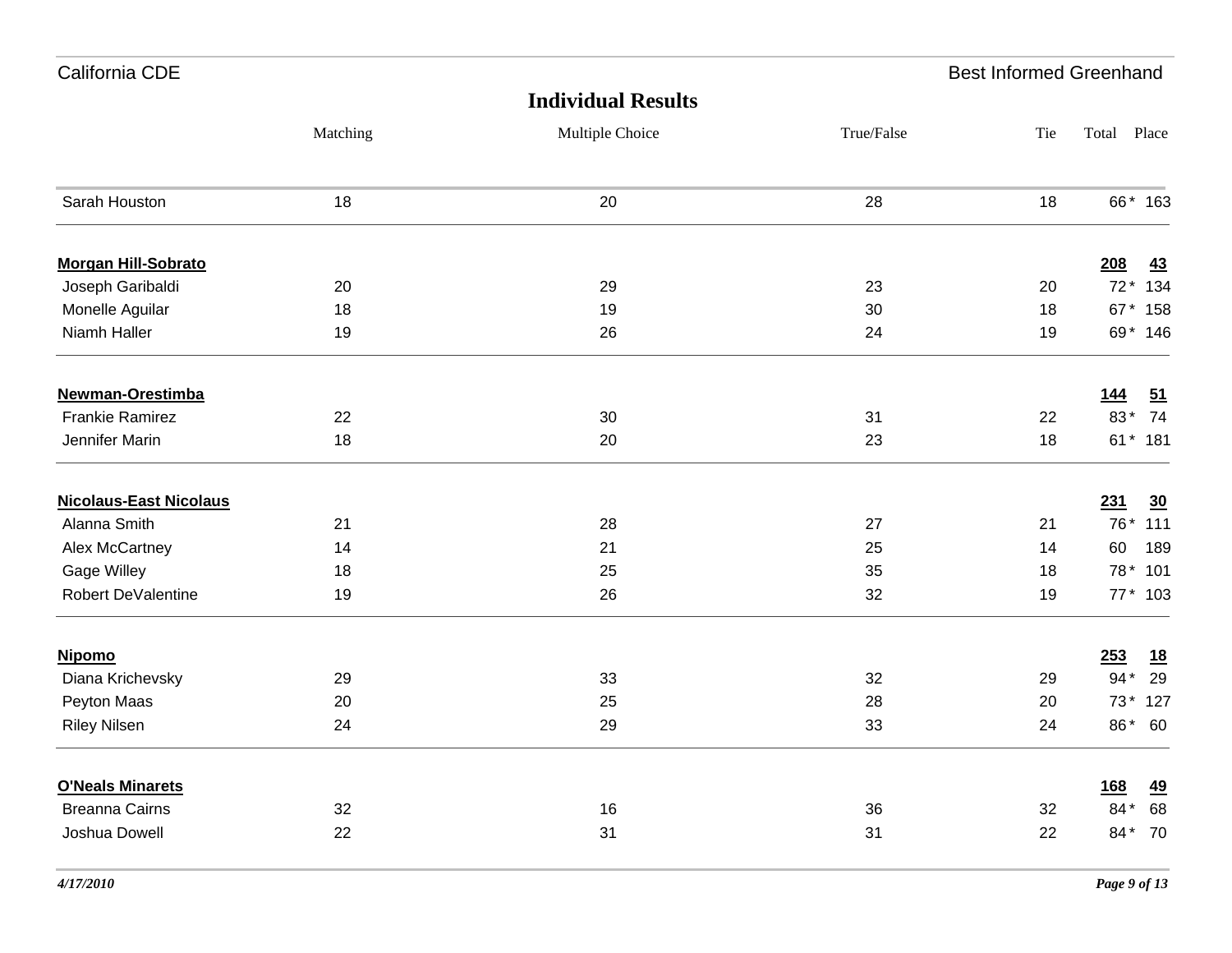| California CDE                |          |                           |            | <b>Best Informed Greenhand</b> |             |           |
|-------------------------------|----------|---------------------------|------------|--------------------------------|-------------|-----------|
|                               |          | <b>Individual Results</b> |            |                                |             |           |
|                               | Matching | Multiple Choice           | True/False | Tie                            | Total Place |           |
| Sarah Houston                 | 18       | 20                        | 28         | 18                             |             | 66* 163   |
| <b>Morgan Hill-Sobrato</b>    |          |                           |            |                                | 208         | 43        |
| Joseph Garibaldi              | 20       | 29                        | 23         | 20                             | $72*$       | 134       |
| Monelle Aguilar               | 18       | 19                        | 30         | 18                             | 67*         | 158       |
| Niamh Haller                  | 19       | 26                        | 24         | 19                             |             | 69* 146   |
| Newman-Orestimba              |          |                           |            |                                | 144         | 51        |
| <b>Frankie Ramirez</b>        | 22       | 30                        | 31         | 22                             | 83*         | 74        |
| Jennifer Marin                | 18       | 20                        | 23         | 18                             |             | 61* 181   |
| <b>Nicolaus-East Nicolaus</b> |          |                           |            |                                | 231         | 30        |
| Alanna Smith                  | 21       | 28                        | 27         | 21                             | 76*         | 111       |
| Alex McCartney                | 14       | 21                        | 25         | 14                             | 60          | 189       |
| Gage Willey                   | 18       | 25                        | 35         | 18                             | 78*         | 101       |
| Robert DeValentine            | 19       | 26                        | 32         | 19                             |             | 77 * 103  |
| <b>Nipomo</b>                 |          |                           |            |                                | 253         | <u>18</u> |
| Diana Krichevsky              | 29       | 33                        | 32         | 29                             | $94*$       | 29        |
| Peyton Maas                   | 20       | 25                        | 28         | 20                             | $73*$       | 127       |
| <b>Riley Nilsen</b>           | 24       | 29                        | 33         | 24                             | 86*         | 60        |
| <b>O'Neals Minarets</b>       |          |                           |            |                                | <u>168</u>  | 49        |
| <b>Breanna Cairns</b>         | 32       | 16                        | 36         | 32                             | 84*         | 68        |
| Joshua Dowell                 | 22       | 31                        | 31         | 22                             | 84*         | 70        |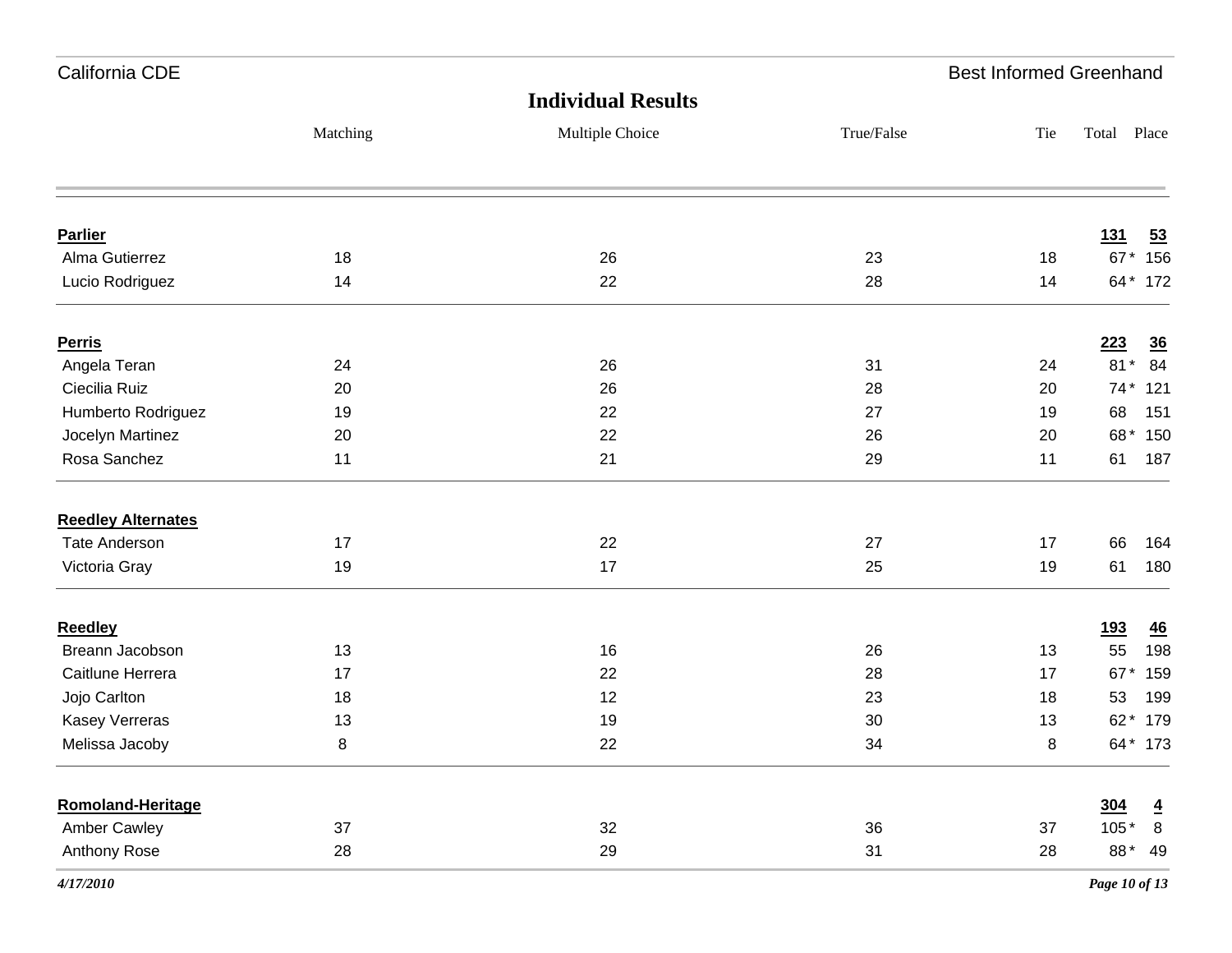| California CDE            |          |                           |            | <b>Best Informed Greenhand</b> |             |                 |
|---------------------------|----------|---------------------------|------------|--------------------------------|-------------|-----------------|
|                           |          | <b>Individual Results</b> |            |                                |             |                 |
|                           | Matching | Multiple Choice           | True/False | Tie                            | Total Place |                 |
|                           |          |                           |            |                                |             |                 |
| <b>Parlier</b>            |          |                           |            |                                | <u>131</u>  | $\overline{53}$ |
| Alma Gutierrez            | 18       | 26                        | 23         | 18                             |             | 67* 156         |
| Lucio Rodriguez           | 14       | 22                        | 28         | 14                             |             | 64 * 172        |
| <b>Perris</b>             |          |                           |            |                                | 223         | $\overline{36}$ |
| Angela Teran              | 24       | 26                        | 31         | 24                             | $81*$       | 84              |
| Ciecilia Ruiz             | 20       | 26                        | 28         | 20                             | $74*$       | 121             |
| Humberto Rodriguez        | 19       | 22                        | 27         | 19                             | 68          | 151             |
| Jocelyn Martinez          | 20       | 22                        | 26         | 20                             |             | 68* 150         |
| Rosa Sanchez              | 11       | 21                        | 29         | 11                             | 61          | 187             |
| <b>Reedley Alternates</b> |          |                           |            |                                |             |                 |
| <b>Tate Anderson</b>      | 17       | 22                        | 27         | 17                             | 66          | 164             |
| Victoria Gray             | 19       | 17                        | 25         | 19                             | 61          | 180             |
| <b>Reedley</b>            |          |                           |            |                                | <u>193</u>  | $\overline{46}$ |
| Breann Jacobson           | 13       | 16                        | 26         | 13                             | 55          | 198             |
| Caitlune Herrera          | 17       | 22                        | 28         | 17                             | 67*         | 159             |
| Jojo Carlton              | 18       | 12                        | 23         | 18                             | 53          | 199             |
| Kasey Verreras            | 13       | 19                        | 30         | 13                             | $62*$       | 179             |
| Melissa Jacoby            | 8        | 22                        | 34         | 8                              |             | 64* 173         |
| Romoland-Heritage         |          |                           |            |                                | 304         | $\overline{4}$  |
| <b>Amber Cawley</b>       | 37       | 32                        | 36         | 37                             | $105*$      | $\,$ 8 $\,$     |
| Anthony Rose              | 28       | 29                        | 31         | 28                             | 88*         | 49              |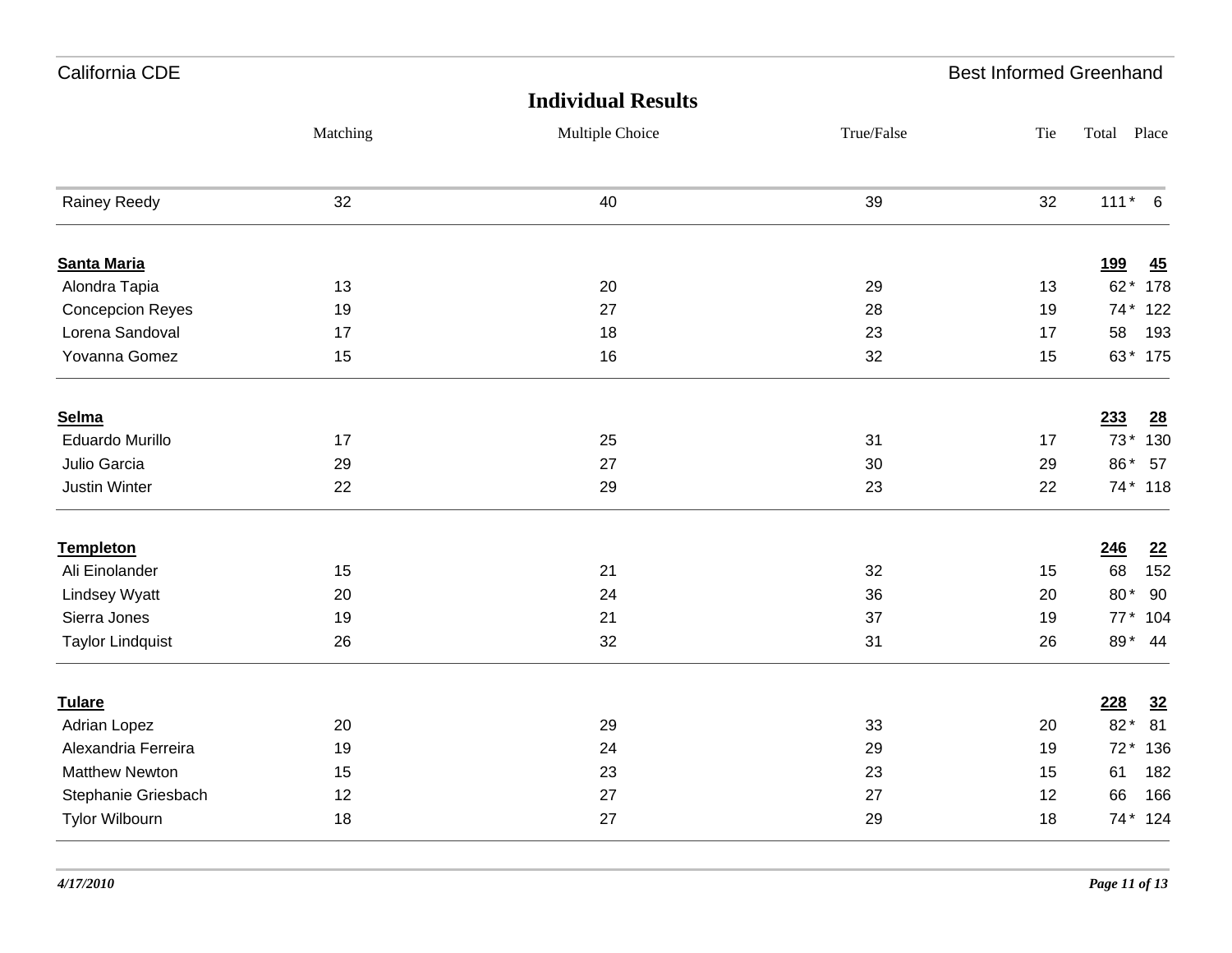| California CDE          |          |                           |            | <b>Best Informed Greenhand</b> |             |     |
|-------------------------|----------|---------------------------|------------|--------------------------------|-------------|-----|
|                         |          | <b>Individual Results</b> |            |                                |             |     |
|                         | Matching | Multiple Choice           | True/False | Tie                            | Total Place |     |
| Rainey Reedy            | 32       | 40                        | 39         | 32                             | $111* 6$    |     |
| <b>Santa Maria</b>      |          |                           |            |                                | <u>199</u>  | 45  |
| Alondra Tapia           | 13       | 20                        | 29         | 13                             | 62* 178     |     |
| <b>Concepcion Reyes</b> | 19       | 27                        | 28         | 19                             | 74 * 122    |     |
| Lorena Sandoval         | 17       | 18                        | 23         | 17                             | 58          | 193 |
| Yovanna Gomez           | 15       | 16                        | 32         | 15                             | 63* 175     |     |
| Selma                   |          |                           |            |                                | 233         | 28  |
| <b>Eduardo Murillo</b>  | 17       | 25                        | 31         | 17                             | 73* 130     |     |
| Julio Garcia            | 29       | 27                        | 30         | 29                             | 86* 57      |     |
| Justin Winter           | 22       | 29                        | 23         | 22                             | 74* 118     |     |
| <b>Templeton</b>        |          |                           |            |                                | 246         | 22  |
| Ali Einolander          | 15       | 21                        | 32         | 15                             | 68          | 152 |
| <b>Lindsey Wyatt</b>    | 20       | 24                        | 36         | 20                             | 80* 90      |     |
| Sierra Jones            | 19       | 21                        | 37         | 19                             | 77 * 104    |     |
| <b>Taylor Lindquist</b> | 26       | 32                        | 31         | 26                             | 89* 44      |     |
| <b>Tulare</b>           |          |                           |            |                                | 228         | 32  |
| Adrian Lopez            | 20       | 29                        | 33         | 20                             | 82* 81      |     |
| Alexandria Ferreira     | 19       | 24                        | 29         | 19                             | 72 * 136    |     |
| <b>Matthew Newton</b>   | 15       | 23                        | 23         | 15                             | 61          | 182 |
| Stephanie Griesbach     | 12       | 27                        | 27         | 12                             | 66          | 166 |
| Tylor Wilbourn          | 18       | 27                        | 29         | 18                             | 74* 124     |     |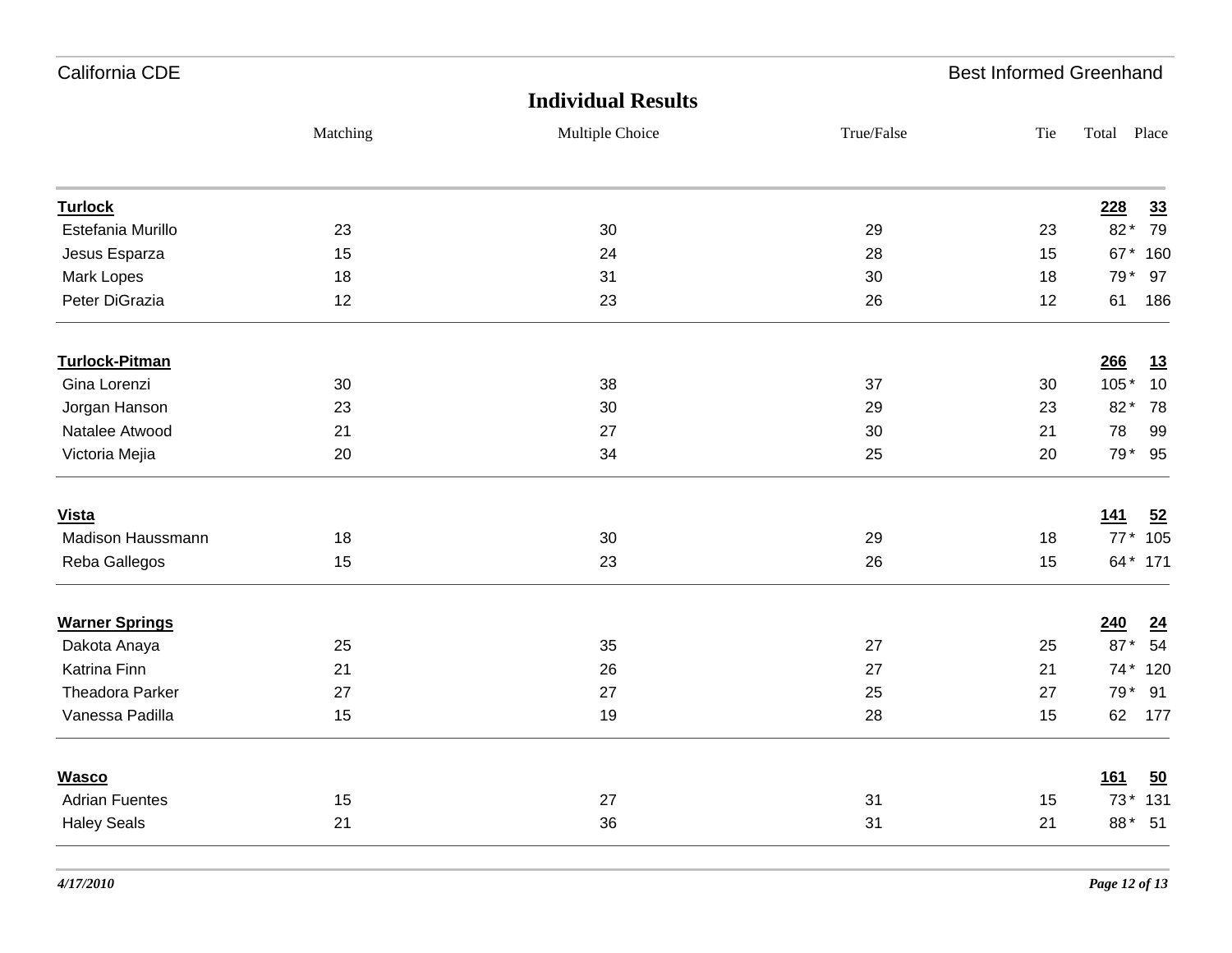| California CDE         |          |                           |            | <b>Best Informed Greenhand</b> |                         |
|------------------------|----------|---------------------------|------------|--------------------------------|-------------------------|
|                        |          | <b>Individual Results</b> |            |                                |                         |
|                        | Matching | Multiple Choice           | True/False | Tie                            | Total Place             |
| <b>Turlock</b>         |          |                           |            |                                | 33<br>228               |
| Estefania Murillo      | 23       | 30                        | 29         | 23                             | 79<br>82*               |
| Jesus Esparza          | 15       | 24                        | 28         | 15                             | 67* 160                 |
| Mark Lopes             | 18       | 31                        | 30         | 18                             | 79 * 97                 |
| Peter DiGrazia         | 12       | 23                        | 26         | 12                             | 186<br>61               |
| <b>Turlock-Pitman</b>  |          |                           |            |                                | 266<br>13               |
| Gina Lorenzi           | 30       | 38                        | 37         | 30                             | 10<br>$105*$            |
| Jorgan Hanson          | 23       | 30                        | 29         | 23                             | 82* 78                  |
| Natalee Atwood         | 21       | 27                        | 30         | 21                             | 78<br>99                |
| Victoria Mejia         | 20       | 34                        | 25         | 20                             | 79* 95                  |
| <b>Vista</b>           |          |                           |            |                                | 52<br><u>141</u>        |
| Madison Haussmann      | 18       | 30                        | 29         | 18                             | 77 * 105                |
| Reba Gallegos          | 15       | 23                        | 26         | 15                             | 64* 171                 |
| <b>Warner Springs</b>  |          |                           |            |                                | $\underline{24}$<br>240 |
| Dakota Anaya           | 25       | 35                        | 27         | 25                             | 87* 54                  |
| Katrina Finn           | 21       | 26                        | 27         | 21                             | 74 * 120                |
| <b>Theadora Parker</b> | 27       | 27                        | 25         | 27                             | 79 * 91                 |
| Vanessa Padilla        | 15       | 19                        | 28         | 15                             | 62<br>177               |
| <b>Wasco</b>           |          |                           |            |                                | 161<br>50               |
| <b>Adrian Fuentes</b>  | 15       | 27                        | 31         | 15                             | 73* 131                 |
| <b>Haley Seals</b>     | 21       | 36                        | 31         | 21                             | 88* 51                  |